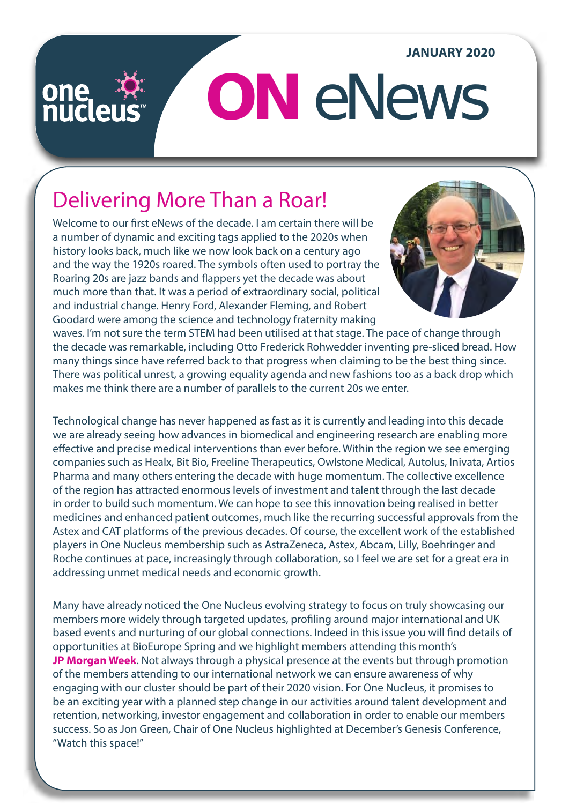#### **JANUARY 2020**

## one<br>nuclei

# **ON** eNews

## Delivering More Than a Roar!

Welcome to our first eNews of the decade. I am certain there will be a number of dynamic and exciting tags applied to the 2020s when history looks back, much like we now look back on a century ago and the way the 1920s roared. The symbols often used to portray the Roaring 20s are jazz bands and flappers yet the decade was about much more than that. It was a period of extraordinary social, political and industrial change. Henry Ford, Alexander Fleming, and Robert Goodard were among the science and technology fraternity making



waves. I'm not sure the term STEM had been utilised at that stage. The pace of change through the decade was remarkable, including Otto Frederick Rohwedder inventing pre-sliced bread. How many things since have referred back to that progress when claiming to be the best thing since. There was political unrest, a growing equality agenda and new fashions too as a back drop which makes me think there are a number of parallels to the current 20s we enter.

Technological change has never happened as fast as it is currently and leading into this decade we are already seeing how advances in biomedical and engineering research are enabling more effective and precise medical interventions than ever before. Within the region we see emerging companies such as Healx, Bit Bio, Freeline Therapeutics, Owlstone Medical, Autolus, Inivata, Artios Pharma and many others entering the decade with huge momentum. The collective excellence of the region has attracted enormous levels of investment and talent through the last decade in order to build such momentum. We can hope to see this innovation being realised in better medicines and enhanced patient outcomes, much like the recurring successful approvals from the Astex and CAT platforms of the previous decades. Of course, the excellent work of the established players in One Nucleus membership such as AstraZeneca, Astex, Abcam, Lilly, Boehringer and Roche continues at pace, increasingly through collaboration, so I feel we are set for a great era in addressing unmet medical needs and economic growth.

Many have already noticed the One Nucleus evolving strategy to focus on truly showcasing our members more widely through targeted updates, profiling around major international and UK based events and nurturing of our global connections. Indeed in this issue you will find details of opportunities at BioEurope Spring and we highlight members attending this month's **[JP Morgan Week](http://bit.ly/GoingWestJan20)**. Not always through a physical presence at the events but through promotion of the members attending to our international network we can ensure awareness of why engaging with our cluster should be part of their 2020 vision. For One Nucleus, it promises to be an exciting year with a planned step change in our activities around talent development and retention, networking, investor engagement and collaboration in order to enable our members success. So as Jon Green, Chair of One Nucleus highlighted at December's Genesis Conference, "Watch this space!"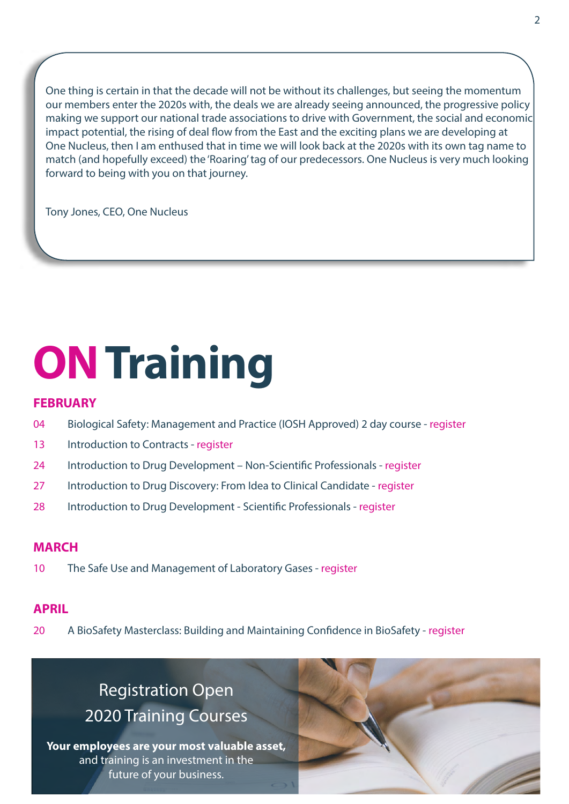One thing is certain in that the decade will not be without its challenges, but seeing the momentum our members enter the 2020s with, the deals we are already seeing announced, the progressive policy making we support our national trade associations to drive with Government, the social and economic impact potential, the rising of deal flow from the East and the exciting plans we are developing at One Nucleus, then I am enthused that in time we will look back at the 2020s with its own tag name to match (and hopefully exceed) the 'Roaring' tag of our predecessors. One Nucleus is very much looking forward to being with you on that journey.

Tony Jones, CEO, One Nucleus

## **ON Training**

#### **FEBRUARY**

- 04 Biological Safety: Management and Practice (IOSH Approved) 2 day course [register](https://onenucleus.com/civicrm/event/info%3Fid%3D1329%26reset%3D1)
- 13 Introduction to Contracts register
- 24 Introduction to Drug Development Non-Scientific Professionals [register](https://onenucleus.com/civicrm/event/info%3Fid%3D1342%26reset%3D1)
- 27 Introduction to Drug Discovery: From Idea to Clinical Candidate - [register](https://onenucleus.com/civicrm/event/info%3Fid%3D1340%26reset%3D1)
- 28 Introduction to Drug Development Scientific Professionals register

#### **MARCH**

10 The Safe Use and Management of Laboratory Gases - [register](https://onenucleus.com/civicrm/event/info%3Fid%3D1330%26reset%3D1)

### **APRIL**

20 A BioSafety Masterclass: Building and Maintaining Confidence in BioSafety - [register](https://onenucleus.com/civicrm/event/info%3Fid%3D1337%26reset%3D1)

## Registration Open [2020 Training Courses](https://onenucleus.com/training-courses)

**Your employees are your most valuable asset,** and training is an investment in the future of your business.

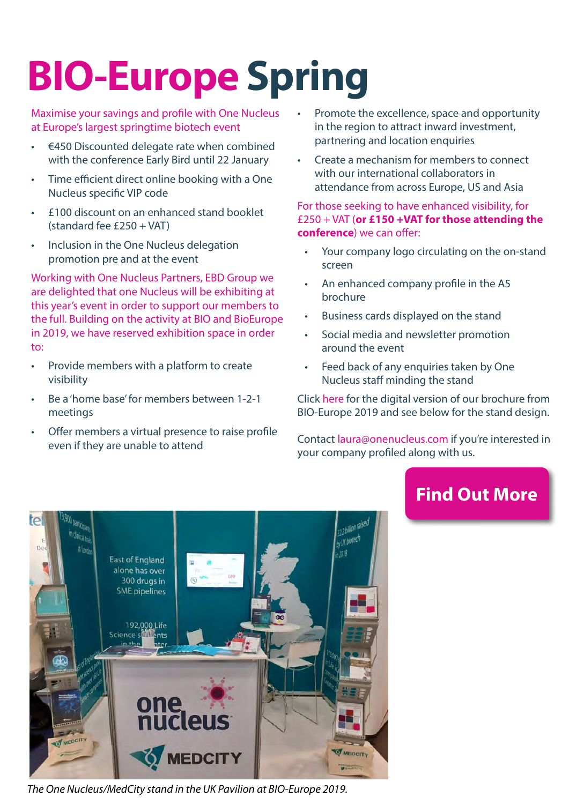## **[BIO-Europe Spring](https://onenucleus.com/bio-europe-spring-2020)**

Maximise your savings and profile with One Nucleus at Europe's largest springtime biotech event

- €450 Discounted delegate rate when combined with the conference Early Bird until 22 January
- Time efficient direct online booking with a One Nucleus specific VIP code
- £100 discount on an enhanced stand booklet  $(statard fee f250 + VAT)$
- Inclusion in the One Nucleus delegation promotion pre and at the event

Working with One Nucleus Partners, EBD Group we are delighted that one Nucleus will be exhibiting at this year's event in order to support our members to the full. Building on the activity at BIO and BioEurope in 2019, we have reserved exhibition space in order to:

- Provide members with a platform to create visibility
- Be a 'home base' for members between 1-2-1 meetings

TO

• Offer members a virtual presence to raise profile even if they are unable to attend

- Promote the excellence, space and opportunity in the region to attract inward investment, partnering and location enquiries
- Create a mechanism for members to connect with our international collaborators in attendance from across Europe, US and Asia

For those seeking to have enhanced visibility, for £250 + VAT (**or £150 +VAT for those attending the conference**) we can offer:

- Your company logo circulating on the on-stand screen
- An enhanced company profile in the A5 brochure
- Business cards displayed on the stand
- Social media and newsletter promotion around the event
- Feed back of any enquiries taken by One Nucleus staff minding the stand

Click [here](https://onenucleus.com/sites/default/files/BIO-Europe%20Brochure%202019.pdf) for the digital version of our brochure from BIO-Europe 2019 and see below for the stand design.

Contact laura@onenucleus.com if you're interested in your company profiled along with us.

### **[Find Out More](https://onenucleus.com/bio-europe-spring-2020)**



*The One Nucleus/MedCity stand in the UK Pavilion at BIO-Europe 2019.*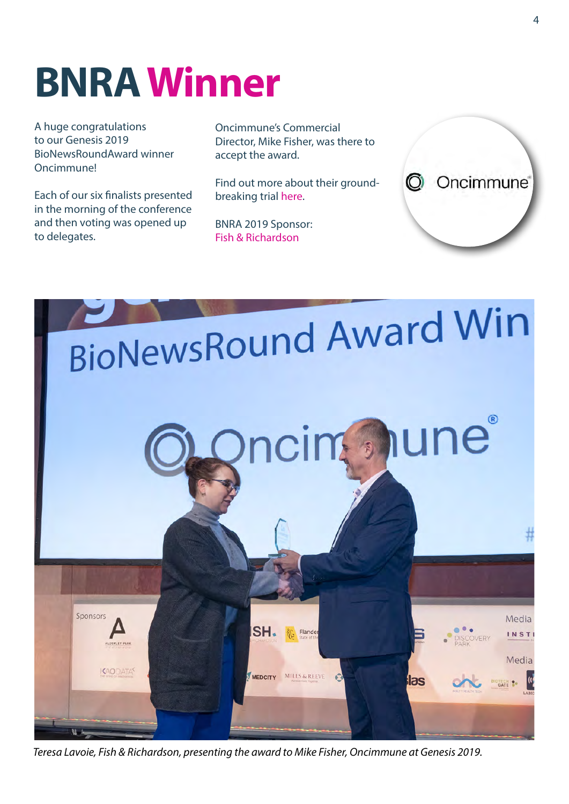## **BNRA Winner**

A huge congratulations to our Genesis 2019 BioNewsRoundAward winner Oncimmune!

Each of our six finalists presented in the morning of the conference and then voting was opened up to delegates.

Oncimmune's Commercial Director, Mike Fisher, was there to accept the award.

Find out more about their groundbreaking trial [here](https://oncimmune.com/wp-content/uploads/2019/09/190906-ECLS-World-Lung-press-release-FINAL.pdf).

BNRA 2019 Sponsor: [Fish & Richardson](https://www.fr.com/)





*Teresa Lavoie, Fish & Richardson, presenting the award to Mike Fisher, Oncimmune at Genesis 2019.*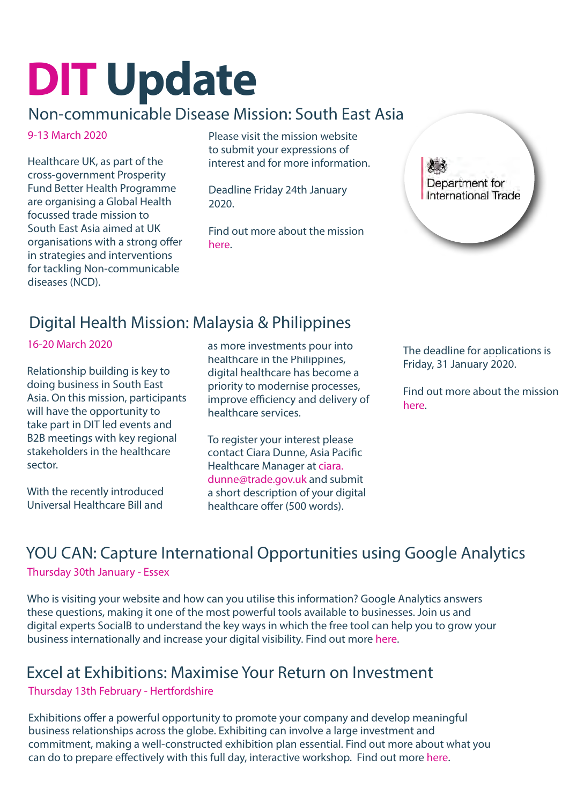## **DIT Update**

### Non-communicable Disease Mission: South East Asia

### 9-13 March 2020

Healthcare UK, as part of the cross-government Prosperity Fund Better Health Programme are organising a Global Health focussed trade mission to South East Asia aimed at UK organisations with a strong offer in strategies and interventions for tackling Non-communicable diseases (NCD).

Please visit the mission [website](https://www.events.great.gov.uk/ehome/index.php?eventid=200197356&) to submit your expressions of interest and for more information.

Deadline Friday 24th January 2020.

Find out more about the mission [here.](https://onenucleus.com/sites/default/files/SE%20Asia%20NCD%20mission%20Flyer.pdf) 



### Digital Health Mission: Malaysia & Philippines

#### 16-20 March 2020

Relationship building is key to doing business in South East Asia. On this mission, participants will have the opportunity to take part in DIT led events and B2B meetings with key regional stakeholders in the healthcare sector.

With the recently introduced Universal Healthcare Bill and

as more investments pour into healthcare in the Philippines, digital healthcare has become a priority to modernise processes, improve efficiency and delivery of healthcare services.

To register your interest please contact Ciara Dunne, Asia Pacific Healthcare Manager at [ciara.](mailto:ciara.dunne%40trade.gov.uk?subject=) [dunne@trade.gov.uk](mailto:ciara.dunne%40trade.gov.uk?subject=) and submit a short description of your digital healthcare offer (500 words).

The deadline for applications is Friday, 31 January 2020.

Find out more about the mission [here](https://onenucleus.com/sites/default/files/Digital%20Healthcare%20Mission%20to%20the%20Philippines%20and%20Malaysia.pdf).

## YOU CAN: Capture International Opportunities using Google Analytics

Thursday 30th January - Essex

Who is visiting your website and how can you utilise this information? Google Analytics answers these questions, making it one of the most powerful tools available to businesses. Join us and digital experts SocialB to understand the key ways in which the free tool can help you to grow your business internationally and increase your digital visibility. Find out more [here](https://www.events.great.gov.uk/ehome/index.php?eventid=200198030&reference=newsletter&dm_i=5EMY,4YO3,25XCYD,HREC,1).

### Excel at Exhibitions: Maximise Your Return on Investment

Thursday 13th February - Hertfordshire

Exhibitions offer a powerful opportunity to promote your company and develop meaningful business relationships across the globe. Exhibiting can involve a large investment and commitment, making a well-constructed exhibition plan essential. Find out more about what you can do to prepare effectively with this full day, interactive workshop. Find out more [here.](https://www.events.great.gov.uk/ehome/index.php?eventid=200198185&reference=newsletter&dm_i=5EMY,4YO3,25XCYD,HREC,1)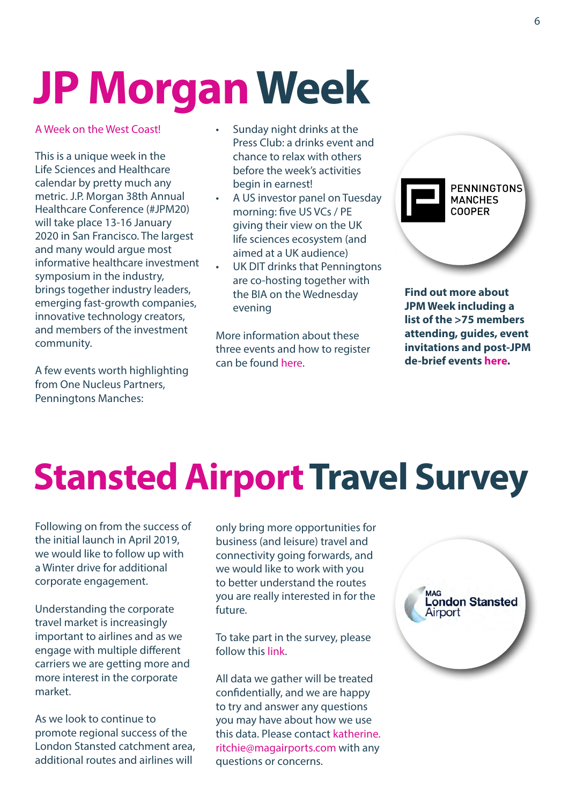## **[JP Morgan Week](http://bit.ly/GoingWestJan20)**

A Week on the West Coast!

This is a unique week in the Life Sciences and Healthcare calendar by pretty much any metric. J.P. Morgan 38th Annual Healthcare Conference (#JPM20) will take place 13-16 January 2020 in San Francisco. The largest and many would argue most informative healthcare investment symposium in the industry, brings together industry leaders, emerging fast-growth companies, innovative technology creators, and members of the investment community.

A few events worth highlighting from One Nucleus Partners, Penningtons Manches:

- Sunday night drinks at the Press Club: a drinks event and chance to relax with others before the week's activities begin in earnest!
- A US investor panel on Tuesday morning: five US VCs / PE giving their view on the UK life sciences ecosystem (and aimed at a UK audience)
- UK DIT drinks that Penningtons are co-hosting together with the BIA on the Wednesday evening

More information about these three events and how to register can be found [here](https://onenucleus.com/jp-morgan-healthcare-conference-2020-events).



**Find out more about JPM Week including a list of the >75 members attending, guides, event invitations and post-JPM de-brief events [here.](http://bit.ly/GoingWestJan20)** 

## **Stansted Airport Travel Survey**

Following on from the success of the initial launch in April 2019, we would like to follow up with a Winter drive for additional corporate engagement.

Understanding the corporate travel market is increasingly important to airlines and as we engage with multiple different carriers we are getting more and more interest in the corporate market.

As we look to continue to promote regional success of the London Stansted catchment area, additional routes and airlines will

only bring more opportunities for business (and leisure) travel and connectivity going forwards, and we would like to work with you to better understand the routes you are really interested in for the future.

To take part in the survey, please follow this [link](https://eur03.safelinks.protection.outlook.com/?url=https%3A%2F%2Fmagairports.us4.list-manage.com%2Ftrack%2Fclick%3Fu%3D7c07fe4d0d76c3c3f017aa1d3%26id%3Ddc993775d8%26e%3Df5607f8726&data=02%7C01%7Ckatherine.ritchie%40magairports.com%7C0499b1caacf24baac38c08d7774b144b%7Cc098827679784f2abd8f918a37a5c957%7C0%7C0%7C637109036657718507&sdata=zB5P2OdSan0SKuWC%2F9SG2oiLtwAMY2Vcg%2BACeoBmCUA%3D&reserved=0).

All data we gather will be treated confidentially, and we are happy to try and answer any questions you may have about how we use this data. Please contact [katherine.](mailto:katherine.ritchie%40magairports.com?subject=) [ritchie@magairports.com](mailto:katherine.ritchie%40magairports.com?subject=) with any questions or concerns.

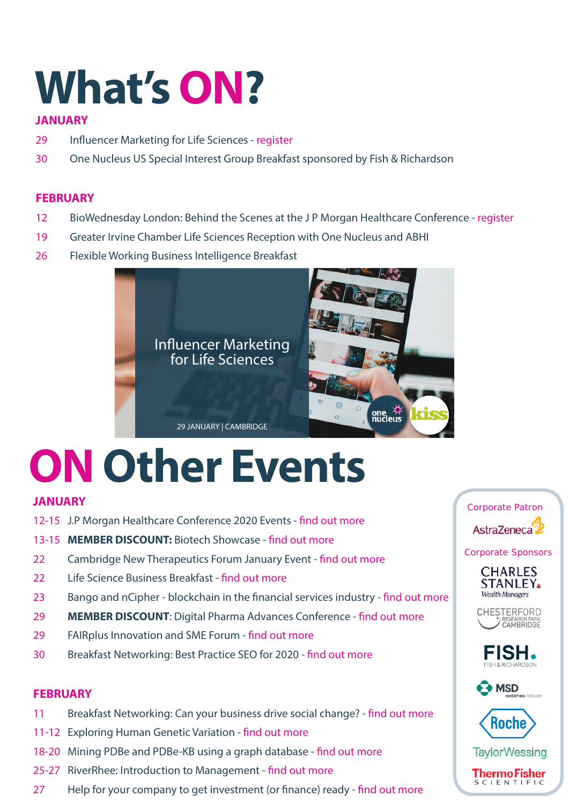## **[What's ON?](https://onenucleus.com/one-nucleus-events)**

#### **JANUARY**

- 29 Influencer Marketing for Life Sciences - [register](https://onenucleus.com/civicrm/event/info%3Fid%3D1338%26reset%3D1)
- 30 One Nucleus US Special Interest Group Breakfast sponsored by Fish & Richardson

#### **FEBRUARY**

- 12 BioWednesday London: Behind the Scenes at the J P Morgan Healthcare Conference [register](https://onenucleus.com/civicrm/event/info%3Fid%3D1332%26reset%3D1)
- 19 Greater Irvine Chamber Life Sciences Reception with One Nucleus and ABHI
- 26 Flexible Working Business Intelligence Breakfast



## **[ON Other Events](https://onenucleus.com/events/industry-events)**

### **JANUARY**

- 12-15 J.P Morgan Healthcare Conference 2020 Events - [find out more](https://onenucleus.com/jp-morgan-healthcare-conference-2020-events)
- 13-15 **MEMBER DISCOUNT:** Biotech Showcase - [find out more](https://onenucleus.com/biotech-showcase)
- 22 Cambridge New Therapeutics Forum January Event [find out more](https://onenucleus.com/cambridge-new-therapeutics-forum-january-event)
- 22 Life Science Business Breakfast  [find out more](https://onenucleus.com/life-science-business-breakfast)
- 23 Bango and nCipher blockchain in the financial services industry - [find out more](https://onenucleus.com/cambridge-network-event-bango-and-ncipher-blockchain-financial-services-industry)
- 29 **MEMBER DISCOUNT**: Digital Pharma Advances Conference [find out more](https://onenucleus.com/8th-annual-digital-pharma-advances-conference)
- 29 FAIRplus Innovation and SME Forum [find out more](https://onenucleus.com/fairplus-innovation-and-sme-forum-implementing-fair-data-principles-industrial-life-science-research)
- 30 Breakfast Networking: Best Practice SEO for 2020 [find out more](https://onenucleus.com/breakfast-networking-best-practice-seo-2020)

#### **FEBRUARY**

- 11 Breakfast Networking: Can your business drive social change? - [find out more](https://onenucleus.com/breakfast-networking-can-your-business-drive-social-change)
- 11-12 Exploring Human Genetic Variation  [find out more](https://onenucleus.com/exploring-human-genetic-variation)
- 18-20 Mining PDBe and PDBe-KB using a graph database [find out more](https://onenucleus.com/mining-pdbe-and-pdbe-kb-using-graph-database)
- 25-27 RiverRhee: Introduction to Management - [find out more](https://onenucleus.com/riverrhee-introduction-management-1)
- 27 Help for your company to get investment (or finance) ready [find out more](https://onenucleus.com/breakfast-networking-help-your-company-get-investment-or-finance-ready)

Corporate Patron AstraZeneca

Corporate Sponsors











**TavlorWessing** 

**ThermoFisher**<br>SCLENTIFIC